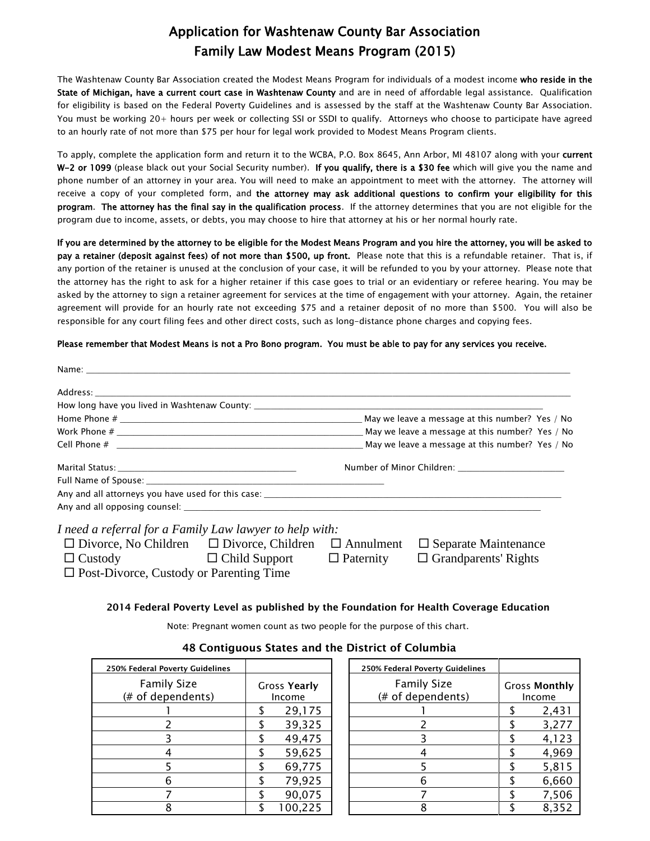# Application for Washtenaw County Bar Association Family Law Modest Means Program (2015)

The Washtenaw County Bar Association created the Modest Means Program for individuals of a modest income who reside in the State of Michigan, have a current court case in Washtenaw County and are in need of affordable legal assistance. Qualification for eligibility is based on the Federal Poverty Guidelines and is assessed by the staff at the Washtenaw County Bar Association. You must be working 20+ hours per week or collecting SSI or SSDI to qualify. Attorneys who choose to participate have agreed to an hourly rate of not more than \$75 per hour for legal work provided to Modest Means Program clients.

To apply, complete the application form and return it to the WCBA, P.O. Box 8645, Ann Arbor, MI 48107 along with your current W-2 or 1099 (please black out your Social Security number). If you qualify, there is a \$30 fee which will give you the name and phone number of an attorney in your area. You will need to make an appointment to meet with the attorney. The attorney will receive a copy of your completed form, and the attorney may ask additional questions to confirm your eligibility for this program. The attorney has the final say in the qualification process. If the attorney determines that you are not eligible for the program due to income, assets, or debts, you may choose to hire that attorney at his or her normal hourly rate.

If you are determined by the attorney to be eligible for the Modest Means Program and you hire the attorney, you will be asked to pay a retainer (deposit against fees) of not more than \$500, up front. Please note that this is a refundable retainer. That is, if any portion of the retainer is unused at the conclusion of your case, it will be refunded to you by your attorney. Please note that the attorney has the right to ask for a higher retainer if this case goes to trial or an evidentiary or referee hearing. You may be asked by the attorney to sign a retainer agreement for services at the time of engagement with your attorney. Again, the retainer agreement will provide for an hourly rate not exceeding \$75 and a retainer deposit of no more than \$500. You will also be responsible for any court filing fees and other direct costs, such as long-distance phone charges and copying fees.

#### Please remember that Modest Means is not a Pro Bono program. You must be able to pay for any services you receive.

| I need a referral for a Family Law lawyer to help with:                                           |  |  |  |
|---------------------------------------------------------------------------------------------------|--|--|--|
| $\Box$ Divorce, No Children $\Box$ Divorce, Children $\Box$ Annulment $\Box$ Separate Maintenance |  |  |  |

Custody Child Support Paternity Grandparents' Rights

 $\square$  Post-Divorce, Custody or Parenting Time

#### **2014 Federal Poverty Level as published by the Foundation for Health Coverage Education**

Note: Pregnant women count as two people for the purpose of this chart.

| 250% Federal Poverty Guidelines         |                               | 250% Federal Poverty Guidelines         |                                |
|-----------------------------------------|-------------------------------|-----------------------------------------|--------------------------------|
| <b>Family Size</b><br>(# of dependents) | <b>Gross Yearly</b><br>Income | <b>Family Size</b><br>(# of dependents) | <b>Gross Monthly</b><br>Income |
|                                         | 29,175                        |                                         | 2,431                          |
|                                         | 39,325                        |                                         | 3,277                          |
|                                         | 49,475                        |                                         | 4,123                          |
|                                         | 59,625                        |                                         | 4,969                          |
|                                         | 69,775                        |                                         | 5,815                          |
|                                         | 79,925                        |                                         | 6,660                          |
|                                         | 90,075                        |                                         | 7,506                          |
|                                         | 100,225                       |                                         | 8,352                          |

#### **48 Contiguous States and the District of Columbia**